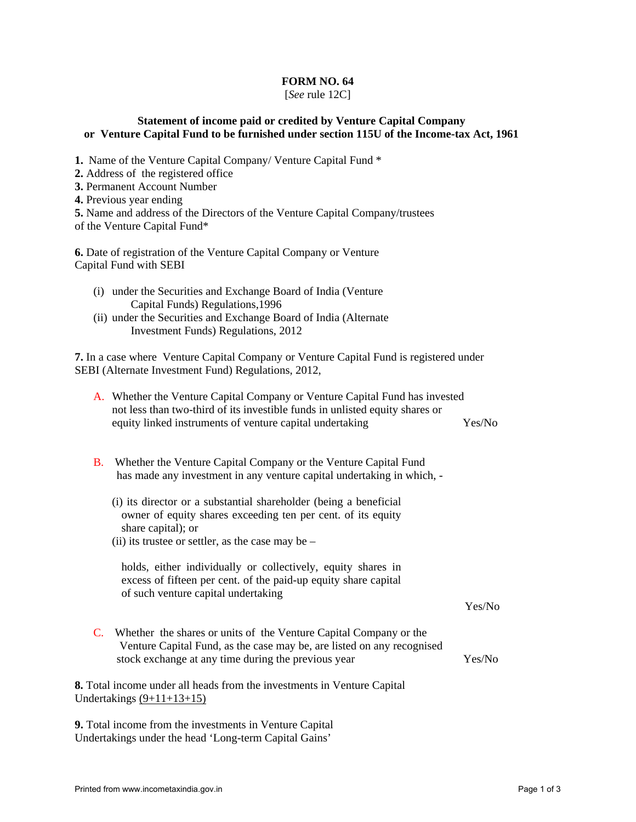## **FORM NO. 64**

## [*See* rule 12C]

## **Statement of income paid or credited by Venture Capital Company or Venture Capital Fund to be furnished under section 115U of the Income-tax Act, 1961**

- **1.** Name of the Venture Capital Company/ Venture Capital Fund \*
- **2.** Address of the registered office
- **3.** Permanent Account Number
- **4.** Previous year ending
- **5.** Name and address of the Directors of the Venture Capital Company/trustees
- of the Venture Capital Fund\*

**6.** Date of registration of the Venture Capital Company or Venture Capital Fund with SEBI

- (i) under the Securities and Exchange Board of India (Venture Capital Funds) Regulations,1996
- (ii) under the Securities and Exchange Board of India (Alternate Investment Funds) Regulations, 2012

**7.** In a case where Venture Capital Company or Venture Capital Fund is registered under SEBI (Alternate Investment Fund) Regulations, 2012,

| A. Whether the Venture Capital Company or Venture Capital Fund has invested  |        |
|------------------------------------------------------------------------------|--------|
| not less than two-third of its investible funds in unlisted equity shares or |        |
| equity linked instruments of venture capital undertaking                     | Yes/No |

- B. Whether the Venture Capital Company or the Venture Capital Fund has made any investment in any venture capital undertaking in which, -
	- (i) its director or a substantial shareholder (being a beneficial owner of equity shares exceeding ten per cent. of its equity share capital); or
	- (ii) its trustee or settler, as the case may be –

holds, either individually or collectively, equity shares in excess of fifteen per cent. of the paid-up equity share capital of such venture capital undertaking

C. Whether the shares or units of the Venture Capital Company or the Venture Capital Fund, as the case may be, are listed on any recognised stock exchange at any time during the previous year Yes/No

**8.** Total income under all heads from the investments in Venture Capital Undertakings  $(9+11+13+15)$ 

**9.** Total income from the investments in Venture Capital Undertakings under the head 'Long-term Capital Gains'

Yes/No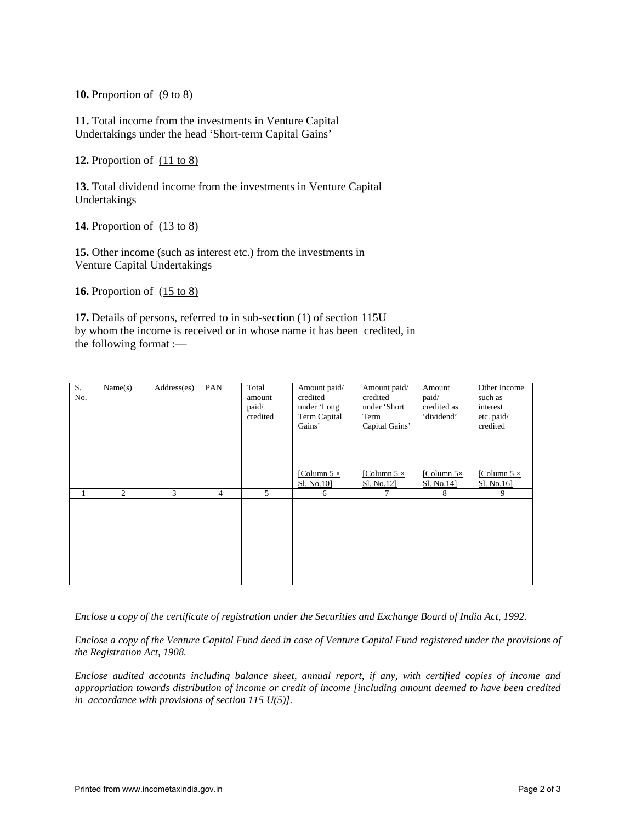**10.** Proportion of (9 to 8)

**11.** Total income from the investments in Venture Capital Undertakings under the head 'Short-term Capital Gains'

**12.** Proportion of (11 to 8)

**13.** Total dividend income from the investments in Venture Capital Undertakings

**14.** Proportion of  $(13 \text{ to } 8)$ 

**15.** Other income (such as interest etc.) from the investments in Venture Capital Undertakings

**16.** Proportion of (15 to 8)

**17.** Details of persons, referred to in sub-section (1) of section 115U by whom the income is received or in whose name it has been credited, in the following format :—

| S.<br>No. | Name(s) | Address(es) | PAN            | Total<br>amount<br>paid/<br>credited | Amount paid/<br>credited<br>under 'Long<br>Term Capital<br>Gains'<br>[Column $5 \times$<br>Sl. No.10] | Amount paid/<br>credited<br>under 'Short<br>Term<br>Capital Gains'<br>[Column 5 $\times$<br>Sl. No.12] | Amount<br>paid/<br>credited as<br>'dividend'<br>[Column $5\times$<br>Sl. No.14] | Other Income<br>such as<br>interest<br>etc. paid/<br>credited<br>[Column $5 \times$<br>Sl. No.16] |
|-----------|---------|-------------|----------------|--------------------------------------|-------------------------------------------------------------------------------------------------------|--------------------------------------------------------------------------------------------------------|---------------------------------------------------------------------------------|---------------------------------------------------------------------------------------------------|
| 1         | 2       | 3           | $\overline{4}$ | 5                                    | 6                                                                                                     | 7                                                                                                      | 8                                                                               | 9                                                                                                 |
|           |         |             |                |                                      |                                                                                                       |                                                                                                        |                                                                                 |                                                                                                   |

*Enclose a copy of the certificate of registration under the Securities and Exchange Board of India Act, 1992.* 

*Enclose a copy of the Venture Capital Fund deed in case of Venture Capital Fund registered under the provisions of the Registration Act, 1908.* 

*Enclose audited accounts including balance sheet, annual report, if any, with certified copies of income and appropriation towards distribution of income or credit of income [including amount deemed to have been credited in accordance with provisions of section 115 U(5)].*